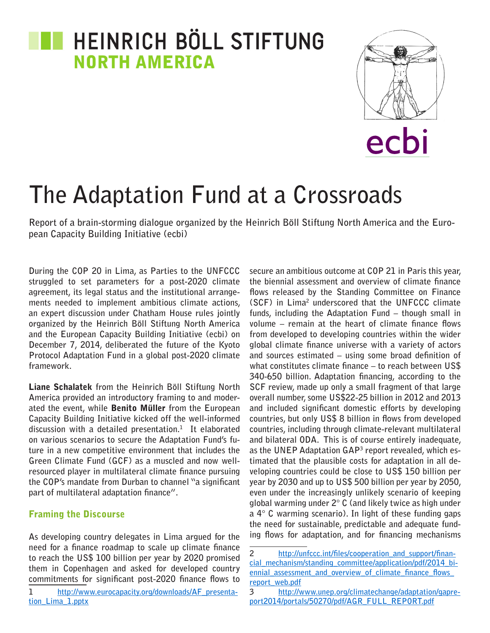# **TE HEINRICH BÖLL STIFTUNG NORTH AMERICA**



# **The Adaptation Fund at a Crossroads**

**Report of a brain-storming dialogue organized by the Heinrich Böll Stiftung North America and the European Capacity Building Initiative (ecbi)**

**During the COP 20 in Lima, as Parties to the UNFCCC struggled to set parameters for a post-2020 climate agreement, its legal status and the institutional arrangements needed to implement ambitious climate actions, an expert discussion under Chatham House rules jointly organized by the Heinrich Böll Stiftung North America and the European Capacity Building Initiative (ecbi) on December 7, 2014, deliberated the future of the Kyoto Protocol Adaptation Fund in a global post-2020 climate framework.** 

Liane Schalatek **from the Heinrich Böll Stiftung North America provided an introductory framing to and moderated the event, while** Benito Müller **from the European Capacity Building Initiative kicked off the well-informed discussion with a detailed presentation.1 It elaborated on various scenarios to secure the Adaptation Fund's future in a new competitive environment that includes the Green Climate Fund (GCF) as a muscled and now wellresourced player in multilateral climate finance pursuing the COP's mandate from Durban to channel "a significant part of multilateral adaptation finance".**

### Framing the Discourse

**As developing country delegates in Lima argued for the need for a finance roadmap to scale up climate finance to reach the US\$ 100 billion per year by 2020 promised them in Copenhagen and asked for developed country commitments for significant post-2020 finance flows to** 

**secure an ambitious outcome at COP 21 in Paris this year, the biennial assessment and overview of climate finance flows released by the Standing Committee on Finance (SCF) in Lima2 underscored that the UNFCCC climate funds, including the Adaptation Fund – though small in volume – remain at the heart of climate finance flows from developed to developing countries within the wider global climate finance universe with a variety of actors and sources estimated – using some broad definition of what constitutes climate finance – to reach between US\$ 340-650 billion. Adaptation financing, according to the SCF review, made up only a small fragment of that large overall number, some US\$22-25 billion in 2012 and 2013 and included significant domestic efforts by developing countries, but only US\$ 8 billion in flows from developed countries, including through climate-relevant multilateral and bilateral ODA. This is of course entirely inadequate, as the UNEP Adaptation GAP3 report revealed, which estimated that the plausible costs for adaptation in all developing countries could be close to US\$ 150 billion per year by 2030 and up to US\$ 500 billion per year by 2050, even under the increasingly unlikely scenario of keeping global warming under 2° C (and likely twice as high under a 4° C warming scenario). In light of these funding gaps the need for sustainable, predictable and adequate funding flows for adaptation, and for financing mechanisms** 

**<sup>1</sup> [http://www.eurocapacity.org/downloads/AF\\_presenta](http://www.eurocapacity.org/downloads/AF_presentation_Lima_1.pptx)[tion\\_Lima\\_1.pptx](http://www.eurocapacity.org/downloads/AF_presentation_Lima_1.pptx)**

**<sup>2</sup> [http://unfccc.int/files/cooperation\\_and\\_support/finan](http://unfccc.int/files/cooperation_and_support/financial_mechanism/standing_committee/application/pdf/2014_biennial_assessment_and_overview_of_climate_finance_flows_report_web.pdf)**cial mechanism/standing committee/application/pdf/2014 bi**[ennial\\_assessment\\_and\\_overview\\_of\\_climate\\_finance\\_flows\\_](http://unfccc.int/files/cooperation_and_support/financial_mechanism/standing_committee/application/pdf/2014_biennial_assessment_and_overview_of_climate_finance_flows_report_web.pdf) [report\\_web.pdf](http://unfccc.int/files/cooperation_and_support/financial_mechanism/standing_committee/application/pdf/2014_biennial_assessment_and_overview_of_climate_finance_flows_report_web.pdf)**

**<sup>3</sup> [http://www.unep.org/climatechange/adaptation/gapre](http://www.unep.org/climatechange/adaptation/gapreport2014/portals/50270/pdf/AGR_FULL_REPORT.pdf)[port2014/portals/50270/pdf/AGR\\_FULL\\_REPORT.pdf](http://www.unep.org/climatechange/adaptation/gapreport2014/portals/50270/pdf/AGR_FULL_REPORT.pdf)**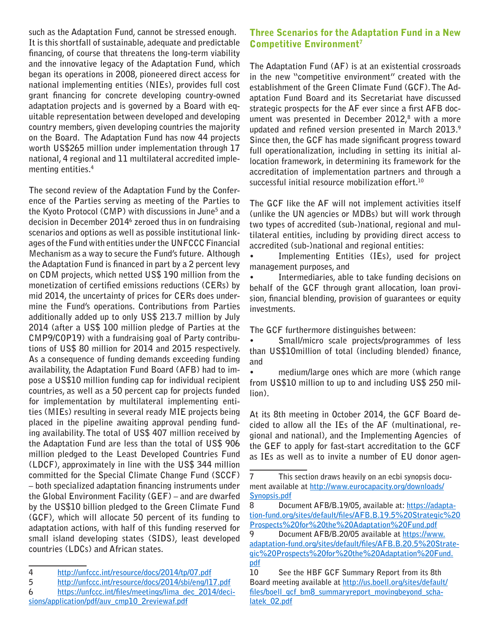**such as the Adaptation Fund, cannot be stressed enough. It is this shortfall of sustainable, adequate and predictable financing, of course that threatens the long-term viability and the innovative legacy of the Adaptation Fund, which began its operations in 2008, pioneered direct access for national implementing entities (NIEs), provides full cost grant financing for concrete developing country-owned adaptation projects and is governed by a Board with equitable representation between developed and developing country members, given developing countries the majority on the Board. The Adaptation Fund has now 44 projects worth US\$265 million under implementation through 17 national, 4 regional and 11 multilateral accredited implementing entities.4**

**The second review of the Adaptation Fund by the Conference of the Parties serving as meeting of the Parties to the Kyoto Protocol (CMP) with discussions in June5 and a decision in December 20146 zeroed thus in on fundraising scenarios and options as well as possible institutional linkages of the Fund with entities under the UNFCCC Financial Mechanism as a way to secure the Fund's future. Although the Adaptation Fund is financed in part by a 2 percent levy on CDM projects, which netted US\$ 190 million from the monetization of certified emissions reductions (CERs) by mid 2014, the uncertainty of prices for CERs does undermine the Fund's operations. Contributions from Parties additionally added up to only US\$ 213.7 million by July 2014 (after a US\$ 100 million pledge of Parties at the CMP9/COP19) with a fundraising goal of Party contributions of US\$ 80 million for 2014 and 2015 respectively. As a consequence of funding demands exceeding funding availability, the Adaptation Fund Board (AFB) had to impose a US\$10 million funding cap for individual recipient countries, as well as a 50 percent cap for projects funded for implementation by multilateral implementing entities (MIEs) resulting in several ready MIE projects being placed in the pipeline awaiting approval pending funding availability. The total of US\$ 407 million received by the Adaptation Fund are less than the total of US\$ 906 million pledged to the Least Developed Countries Fund (LDCF), approximately in line with the US\$ 344 million committed for the Special Climate Change Fund (SCCF) – both specialized adaptation financing instruments under the Global Environment Facility (GEF) – and are dwarfed by the US\$10 billion pledged to the Green Climate Fund (GCF), which will allocate 50 percent of its funding to adaptation actions, with half of this funding reserved for small island developing states (SIDS), least developed countries (LDCs) and African states.**

**5 <http://unfccc.int/resource/docs/2014/sbi/eng/l17.pdf>**

# Three Scenarios for the Adaptation Fund in a New Competitive Environment7

**The Adaptation Fund (AF) is at an existential crossroads in the new "competitive environment" created with the establishment of the Green Climate Fund (GCF). The Adaptation Fund Board and its Secretariat have discussed strategic prospects for the AF ever since a first AFB document was presented in December 2012,8 with a more updated and refined version presented in March 2013.9 Since then, the GCF has made significant progress toward full operationalization, including in setting its initial allocation framework, in determining its framework for the accreditation of implementation partners and through a successful initial resource mobilization effort.10**

**The GCF like the AF will not implement activities itself (unlike the UN agencies or MDBs) but will work through two types of accredited (sub-)national, regional and multilateral entities, including by providing direct access to accredited (sub-)national and regional entities:** 

**• Implementing Entities (IEs), used for project management purposes, and** 

**• Intermediaries, able to take funding decisions on behalf of the GCF through grant allocation, loan provision, financial blending, provision of guarantees or equity investments.**

**The GCF furthermore distinguishes between:**

**• Small/micro scale projects/programmes of less than US\$10million of total (including blended) finance, and** 

**• medium/large ones which are more (which range from US\$10 million to up to and including US\$ 250 million).**

**At its 8th meeting in October 2014, the GCF Board decided to allow all the IEs of the AF (multinational, regional and national), and the Implementing Agencies of the GEF to apply for fast-start accreditation to the GCF as IEs as well as to invite a number of EU donor agen-**

**<sup>4</sup> <http://unfccc.int/resource/docs/2014/tp/07.pdf>**

**<sup>6</sup> [https://unfccc.int/files/meetings/lima\\_dec\\_2014/deci](https://unfccc.int/files/meetings/lima_dec_2014/decisions/application/pdf/auv_cmp10_2reviewaf.pdf)[sions/application/pdf/auv\\_cmp10\\_2reviewaf.pdf](https://unfccc.int/files/meetings/lima_dec_2014/decisions/application/pdf/auv_cmp10_2reviewaf.pdf)**

**<sup>7</sup> This section draws heavily on an ecbi synopsis document available at [http://www.eurocapacity.org/downloads/](http://www.eurocapacity.org/downloads/Synopsis.pdf) [Synopsis.pdf](http://www.eurocapacity.org/downloads/Synopsis.pdf)**

**<sup>8</sup> Document AFB/B.19/05, available at: [https://adapta](https://adaptation-fund.org/sites/default/files/AFB.B.19)[tion-fund.org/sites/default/files/AFB.B.19.](https://adaptation-fund.org/sites/default/files/AFB.B.19)5%20Strategic%20 Prospects%20for%20the%20Adaptation[%20Fund.pdf](20Fund.pdf)**

**<sup>9</sup> Document AFB/B.20/05 available at [https://www.](https://www.adaptation-fund.org/sites/default/files/AFB.B.20) [adaptation-fund.org/sites/default/files/AFB.B.20.](https://www.adaptation-fund.org/sites/default/files/AFB.B.20)5%20Strategic%20Prospects%20for%20the%20Adaptation[%20Fund.](20Fund.pdf) [pdf](20Fund.pdf)**

**<sup>10</sup> See the HBF GCF Summary Report from its 8th Board meeting available at [http://us.boell.org/sites/default/](http://us.boell.org/sites/default/files/boell_gcf_bm8_summaryreport_movingbeyond_schalatek_02.pdf)** files/boell gcf\_bm8\_summaryreport\_movingbeyond\_scha**[latek\\_02.pdf](http://us.boell.org/sites/default/files/boell_gcf_bm8_summaryreport_movingbeyond_schalatek_02.pdf)**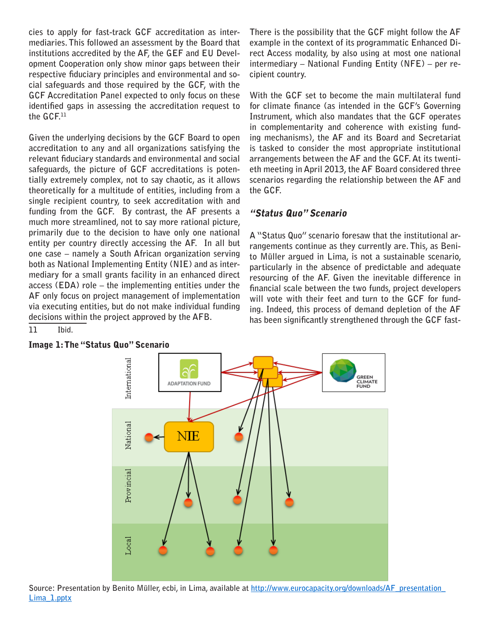**cies to apply for fast-track GCF accreditation as intermediaries. This followed an assessment by the Board that institutions accredited by the AF, the GEF and EU Development Cooperation only show minor gaps between their respective fiduciary principles and environmental and social safeguards and those required by the GCF, with the GCF Accreditation Panel expected to only focus on these identified gaps in assessing the accreditation request to the GCF.11**

**Given the underlying decisions by the GCF Board to open accreditation to any and all organizations satisfying the relevant fiduciary standards and environmental and social safeguards, the picture of GCF accreditations is potentially extremely complex, not to say chaotic, as it allows theoretically for a multitude of entities, including from a single recipient country, to seek accreditation with and funding from the GCF. By contrast, the AF presents a much more streamlined, not to say more rational picture, primarily due to the decision to have only one national entity per country directly accessing the AF. In all but one case – namely a South African organization serving both as National Implementing Entity (NIE) and as intermediary for a small grants facility in an enhanced direct access (EDA) role – the implementing entities under the AF only focus on project management of implementation via executing entities, but do not make individual funding decisions within the project approved by the AFB.**

**11 Ibid.**



#### Image 1: The "Status Quo" Scenario

**There is the possibility that the GCF might follow the AF example in the context of its programmatic Enhanced Direct Access modality, by also using at most one national intermediary – National Funding Entity (NFE) – per recipient country.**

**With the GCF set to become the main multilateral fund for climate finance (as intended in the GCF's Governing Instrument, which also mandates that the GCF operates in complementarity and coherence with existing funding mechanisms), the AF and its Board and Secretariat is tasked to consider the most appropriate institutional arrangements between the AF and the GCF. At its twentieth meeting in April 2013, the AF Board considered three scenarios regarding the relationship between the AF and the GCF.**

#### "Status Quo" Scenario

**A "Status Quo" scenario foresaw that the institutional arrangements continue as they currently are. This, as Benito Müller argued in Lima, is not a sustainable scenario, particularly in the absence of predictable and adequate resourcing of the AF. Given the inevitable difference in financial scale between the two funds, project developers will vote with their feet and turn to the GCF for funding. Indeed, this process of demand depletion of the AF has been significantly strengthened through the GCF fast-**

**Source: Presentation by Benito Müller, ecbi, in Lima, available at [http://www.eurocapacity.org/downloads/AF\\_presentation\\_](http://www.eurocapacity.org/downloads/AF_presentation_Lima_1.pptx) [Lima\\_1.pptx](http://www.eurocapacity.org/downloads/AF_presentation_Lima_1.pptx)**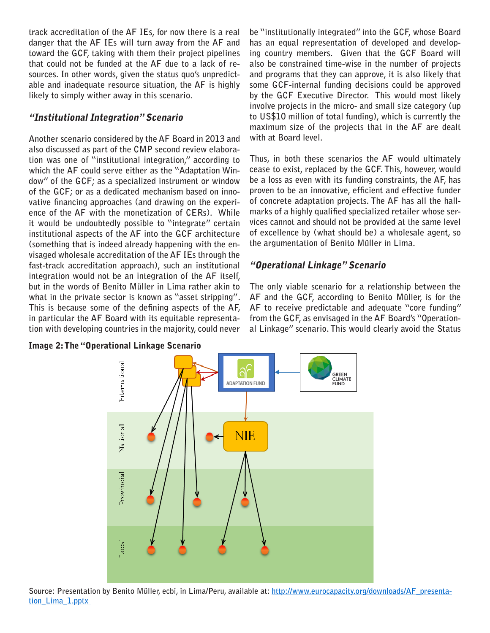**track accreditation of the AF IEs, for now there is a real danger that the AF IEs will turn away from the AF and toward the GCF, taking with them their project pipelines that could not be funded at the AF due to a lack of resources. In other words, given the status quo's unpredictable and inadequate resource situation, the AF is highly likely to simply wither away in this scenario.**

# "Institutional Integration" Scenario

**Another scenario considered by the AF Board in 2013 and also discussed as part of the CMP second review elaboration was one of "institutional integration," according to which the AF could serve either as the "Adaptation Window" of the GCF; as a specialized instrument or window of the GCF; or as a dedicated mechanism based on innovative financing approaches (and drawing on the experience of the AF with the monetization of CERs). While it would be undoubtedly possible to "integrate" certain institutional aspects of the AF into the GCF architecture (something that is indeed already happening with the envisaged wholesale accreditation of the AF IEs through the fast-track accreditation approach), such an institutional integration would not be an integration of the AF itself, but in the words of Benito Müller in Lima rather akin to what in the private sector is known as "asset stripping". This is because some of the defining aspects of the AF, in particular the AF Board with its equitable representation with developing countries in the majority, could never** 

Image 2: The "Operational Linkage Scenario

**be "institutionally integrated" into the GCF, whose Board has an equal representation of developed and developing country members. Given that the GCF Board will also be constrained time-wise in the number of projects and programs that they can approve, it is also likely that some GCF-internal funding decisions could be approved by the GCF Executive Director. This would most likely involve projects in the micro- and small size category (up to US\$10 million of total funding), which is currently the maximum size of the projects that in the AF are dealt with at Board level.** 

**Thus, in both these scenarios the AF would ultimately cease to exist, replaced by the GCF. This, however, would be a loss as even with its funding constraints, the AF, has proven to be an innovative, efficient and effective funder of concrete adaptation projects. The AF has all the hallmarks of a highly qualified specialized retailer whose services cannot and should not be provided at the same level of excellence by (what should be) a wholesale agent, so the argumentation of Benito Müller in Lima.**

# "Operational Linkage" Scenario

**The only viable scenario for a relationship between the AF and the GCF, according to Benito Müller, is for the AF to receive predictable and adequate "core funding" from the GCF, as envisaged in the AF Board's "Operational Linkage" scenario. This would clearly avoid the Status** 



**Source: Presentation by Benito Müller, ecbi, in Lima/Peru, available at: [http://www.eurocapacity.org/downloads/AF\\_presenta](http://www.eurocapacity.org/downloads/AF_presentation_Lima_1.pptx)[tion\\_Lima\\_1.pptx](http://www.eurocapacity.org/downloads/AF_presentation_Lima_1.pptx)**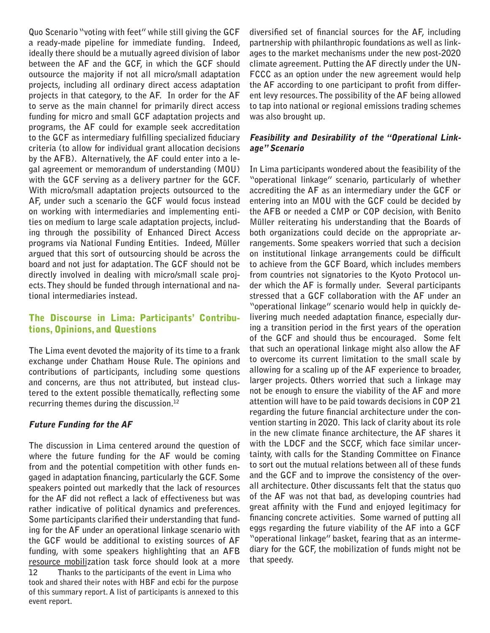**Quo Scenario "voting with feet" while still giving the GCF a ready-made pipeline for immediate funding. Indeed, ideally there should be a mutually agreed division of labor between the AF and the GCF, in which the GCF should outsource the majority if not all micro/small adaptation projects, including all ordinary direct access adaptation projects in that category, to the AF. In order for the AF to serve as the main channel for primarily direct access funding for micro and small GCF adaptation projects and programs, the AF could for example seek accreditation to the GCF as intermediary fulfilling specialized fiduciary criteria (to allow for individual grant allocation decisions by the AFB). Alternatively, the AF could enter into a legal agreement or memorandum of understanding (MOU) with the GCF serving as a delivery partner for the GCF. With micro/small adaptation projects outsourced to the AF, under such a scenario the GCF would focus instead on working with intermediaries and implementing entities on medium to large scale adaptation projects, including through the possibility of Enhanced Direct Access programs via National Funding Entities. Indeed, Müller argued that this sort of outsourcing should be across the board and not just for adaptation. The GCF should not be directly involved in dealing with micro/small scale projects. They should be funded through international and national intermediaries instead.**

### The Discourse in Lima: Participants' Contributions, Opinions, and Questions

**The Lima event devoted the majority of its time to a frank exchange under Chatham House Rule. The opinions and contributions of participants, including some questions and concerns, are thus not attributed, but instead clustered to the extent possible thematically, reflecting some recurring themes during the discussion.12** 

#### Future Funding for the AF

**The discussion in Lima centered around the question of where the future funding for the AF would be coming from and the potential competition with other funds engaged in adaptation financing, particularly the GCF. Some speakers pointed out markedly that the lack of resources for the AF did not reflect a lack of effectiveness but was rather indicative of political dynamics and preferences. Some participants clarified their understanding that funding for the AF under an operational linkage scenario with the GCF would be additional to existing sources of AF funding, with some speakers highlighting that an AFB resource mobilization task force should look at a more** 

**12 Thanks to the participants of the event in Lima who took and shared their notes with HBF and ecbi for the purpose of this summary report. A list of participants is annexed to this event report.**

**diversified set of financial sources for the AF, including partnership with philanthropic foundations as well as linkages to the market mechanisms under the new post-2020 climate agreement. Putting the AF directly under the UN-FCCC as an option under the new agreement would help the AF according to one participant to profit from different levy resources. The possibility of the AF being allowed to tap into national or regional emissions trading schemes was also brought up.** 

#### Feasibility and Desirability of the "Operational Linkage" Scenario

**In Lima participants wondered about the feasibility of the "operational linkage" scenario, particularly of whether accrediting the AF as an intermediary under the GCF or entering into an MOU with the GCF could be decided by the AFB or needed a CMP or COP decision, with Benito Müller reiterating his understanding that the Boards of both organizations could decide on the appropriate arrangements. Some speakers worried that such a decision on institutional linkage arrangements could be difficult to achieve from the GCF Board, which includes members from countries not signatories to the Kyoto Protocol under which the AF is formally under. Several participants stressed that a GCF collaboration with the AF under an "operational linkage" scenario would help in quickly delivering much needed adaptation finance, especially during a transition period in the first years of the operation of the GCF and should thus be encouraged. Some felt that such an operational linkage might also allow the AF to overcome its current limitation to the small scale by allowing for a scaling up of the AF experience to broader, larger projects. Others worried that such a linkage may not be enough to ensure the viability of the AF and more attention will have to be paid towards decisions in COP 21 regarding the future financial architecture under the convention starting in 2020. This lack of clarity about its role in the new climate finance architecture, the AF shares it with the LDCF and the SCCF, which face similar uncertainty, with calls for the Standing Committee on Finance to sort out the mutual relations between all of these funds and the GCF and to improve the consistency of the overall architecture. Other discussants felt that the status quo of the AF was not that bad, as developing countries had great affinity with the Fund and enjoyed legitimacy for financing concrete activities. Some warned of putting all eggs regarding the future viability of the AF into a GCF "operational linkage" basket, fearing that as an intermediary for the GCF, the mobilization of funds might not be that speedy.**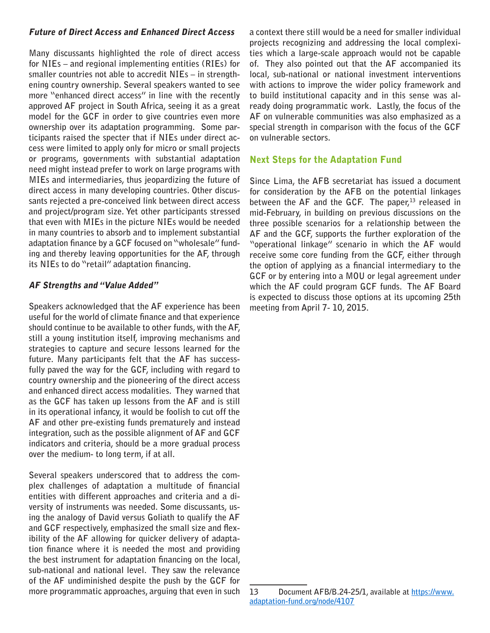#### Future of Direct Access and Enhanced Direct Access

**Many discussants highlighted the role of direct access for NIEs – and regional implementing entities (RIEs) for smaller countries not able to accredit NIEs – in strengthening country ownership. Several speakers wanted to see more "enhanced direct access" in line with the recently approved AF project in South Africa, seeing it as a great model for the GCF in order to give countries even more ownership over its adaptation programming. Some participants raised the specter that if NIEs under direct access were limited to apply only for micro or small projects or programs, governments with substantial adaptation need might instead prefer to work on large programs with MIEs and intermediaries, thus jeopardizing the future of direct access in many developing countries. Other discussants rejected a pre-conceived link between direct access and project/program size. Yet other participants stressed that even with MIEs in the picture NIEs would be needed in many countries to absorb and to implement substantial adaptation finance by a GCF focused on "wholesale" funding and thereby leaving opportunities for the AF, through its NIEs to do "retail" adaptation financing.**

#### AF Strengths and "Value Added"

**Speakers acknowledged that the AF experience has been useful for the world of climate finance and that experience should continue to be available to other funds, with the AF, still a young institution itself, improving mechanisms and strategies to capture and secure lessons learned for the future. Many participants felt that the AF has successfully paved the way for the GCF, including with regard to country ownership and the pioneering of the direct access and enhanced direct access modalities. They warned that as the GCF has taken up lessons from the AF and is still in its operational infancy, it would be foolish to cut off the AF and other pre-existing funds prematurely and instead integration, such as the possible alignment of AF and GCF indicators and criteria, should be a more gradual process over the medium- to long term, if at all.** 

**Several speakers underscored that to address the complex challenges of adaptation a multitude of financial entities with different approaches and criteria and a diversity of instruments was needed. Some discussants, using the analogy of David versus Goliath to qualify the AF and GCF respectively, emphasized the small size and flexibility of the AF allowing for quicker delivery of adaptation finance where it is needed the most and providing the best instrument for adaptation financing on the local, sub-national and national level. They saw the relevance of the AF undiminished despite the push by the GCF for more programmatic approaches, arguing that even in such** 

**a context there still would be a need for smaller individual projects recognizing and addressing the local complexities which a large-scale approach would not be capable of. They also pointed out that the AF accompanied its local, sub-national or national investment interventions with actions to improve the wider policy framework and to build institutional capacity and in this sense was already doing programmatic work. Lastly, the focus of the AF on vulnerable communities was also emphasized as a special strength in comparison with the focus of the GCF on vulnerable sectors.**

#### Next Steps for the Adaptation Fund

**Since Lima, the AFB secretariat has issued a document for consideration by the AFB on the potential linkages**  between the AF and the GCF. The paper,<sup>13</sup> released in **mid-February, in building on previous discussions on the three possible scenarios for a relationship between the AF and the GCF, supports the further exploration of the "operational linkage" scenario in which the AF would receive some core funding from the GCF, either through the option of applying as a financial intermediary to the GCF or by entering into a MOU or legal agreement under which the AF could program GCF funds. The AF Board is expected to discuss those options at its upcoming 25th meeting from April 7- 10, 2015.**

**<sup>13</sup> Document AFB/B.24-25/1, available at [https://www.](https://www.adaptation-fund.org/node/4107) [adaptation-fund.org/node/4107](https://www.adaptation-fund.org/node/4107)**